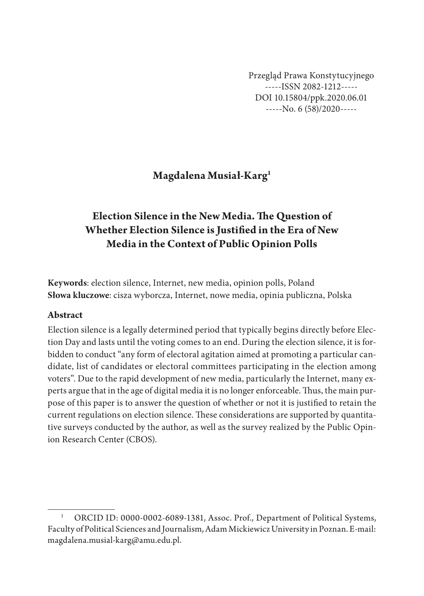Przegląd Prawa Konstytucyjnego -----ISSN 2082-1212----- DOI 10.15804/ppk.2020.06.01 -----No. 6 (58)/2020-----

# **Magdalena Musiał-Karg1**

# **Election Silence in the New Media. The Question of Whether Election Silence is Justified in the Era of New Media in the Context of Public Opinion Polls**

**Keywords**: election silence, Internet, new media, opinion polls, Poland **Słowa kluczowe**: cisza wyborcza, Internet, nowe media, opinia publiczna, Polska

### **Abstract**

Election silence is a legally determined period that typically begins directly before Election Day and lasts until the voting comes to an end. During the election silence, it is forbidden to conduct "any form of electoral agitation aimed at promoting a particular candidate, list of candidates or electoral committees participating in the election among voters". Due to the rapid development of new media, particularly the Internet, many experts argue that in the age of digital media it is no longer enforceable. Thus, the main purpose of this paper is to answer the question of whether or not it is justified to retain the current regulations on election silence. These considerations are supported by quantitative surveys conducted by the author, as well as the survey realized by the Public Opinion Research Center (CBOS).

ORCID ID: 0000-0002-6089-1381, Assoc. Prof., Department of Political Systems, Faculty of Political Sciences and Journalism, Adam Mickiewicz University in Poznan. E-mail: magdalena.musial-karg@amu.edu.pl.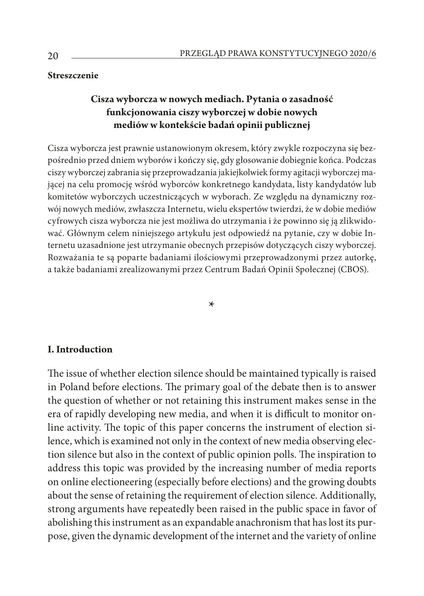### **Streszczenie**

## **Cisza wyborcza w nowych mediach. Pytania o zasadność funkcjonowania ciszy wyborczej w dobie nowych mediów w kontekście badań opinii publicznej**

Cisza wyborcza jest prawnie ustanowionym okresem, który zwykle rozpoczyna się bezpośrednio przed dniem wyborów i kończy się, gdy głosowanie dobiegnie końca. Podczas ciszy wyborczej zabrania się przeprowadzania jakiejkolwiek formy agitacji wyborczej mającej na celu promocję wśród wyborców konkretnego kandydata, listy kandydatów lub komitetów wyborczych uczestniczących w wyborach. Ze względu na dynamiczny rozwój nowych mediów, zwłaszcza Internetu, wielu ekspertów twierdzi, że w dobie mediów cyfrowych cisza wyborcza nie jest możliwa do utrzymania i że powinno się ją zlikwidować. Głównym celem niniejszego artykułu jest odpowiedź na pytanie, czy w dobie Internetu uzasadnione jest utrzymanie obecnych przepisów dotyczących ciszy wyborczej. Rozważania te są poparte badaniami ilościowymi przeprowadzonymi przez autorkę, a także badaniami zrealizowanymi przez Centrum Badań Opinii Społecznej (CBOS).

\*

#### **I. Introduction**

The issue of whether election silence should be maintained typically is raised in Poland before elections. The primary goal of the debate then is to answer the question of whether or not retaining this instrument makes sense in the era of rapidly developing new media, and when it is difficult to monitor online activity. The topic of this paper concerns the instrument of election silence, which is examined not only in the context of new media observing election silence but also in the context of public opinion polls. The inspiration to address this topic was provided by the increasing number of media reports on online electioneering (especially before elections) and the growing doubts about the sense of retaining the requirement of election silence. Additionally, strong arguments have repeatedly been raised in the public space in favor of abolishing this instrument as an expandable anachronism that has lost its purpose, given the dynamic development of the internet and the variety of online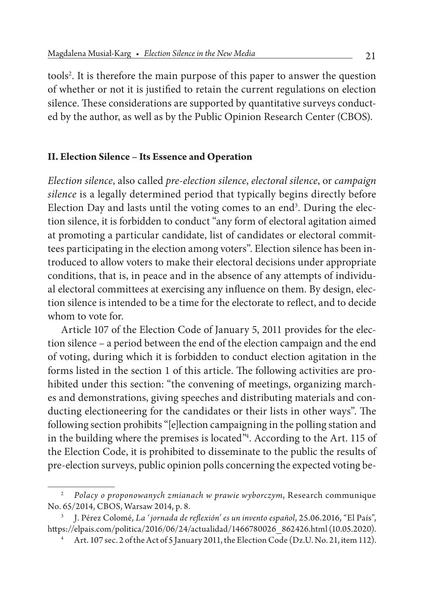tools<sup>2</sup>. It is therefore the main purpose of this paper to answer the question of whether or not it is justified to retain the current regulations on election silence. These considerations are supported by quantitative surveys conducted by the author, as well as by the Public Opinion Research Center (CBOS).

### **II. Election Silence – Its Essence and Operation**

*Election silence*, also called *pre-election silence*, *electoral silence*, or *campaign silence* is a legally determined period that typically begins directly before Election Day and lasts until the voting comes to an end<sup>3</sup>. During the election silence, it is forbidden to conduct "any form of electoral agitation aimed at promoting a particular candidate, list of candidates or electoral committees participating in the election among voters". Election silence has been introduced to allow voters to make their electoral decisions under appropriate conditions, that is, in peace and in the absence of any attempts of individual electoral committees at exercising any influence on them. By design, election silence is intended to be a time for the electorate to reflect, and to decide whom to vote for.

Article 107 of the Election Code of January 5, 2011 provides for the election silence – a period between the end of the election campaign and the end of voting, during which it is forbidden to conduct election agitation in the forms listed in the section 1 of this article. The following activities are prohibited under this section: "the convening of meetings, organizing marches and demonstrations, giving speeches and distributing materials and conducting electioneering for the candidates or their lists in other ways". The following section prohibits "[e]lection campaigning in the polling station and in the building where the premises is located"4 . According to the Art. 115 of the Election Code, it is prohibited to disseminate to the public the results of pre-election surveys, public opinion polls concerning the expected voting be-

<sup>2</sup> *Polacy o proponowanych zmianach w prawie wyborczym*, Research communique No. 65/2014, CBOS, Warsaw 2014, p. 8.

<sup>3</sup> J. Pérez Colomé, *La ' jornada de reflexión' es un invento español*, 25.06.2016, "El País", https://elpais.com/politica/2016/06/24/actualidad/1466780026\_862426.html (10.05.2020).

<sup>4</sup> Art. 107 sec. 2 of the Act of 5 January 2011, the Election Code (Dz.U. No. 21, item 112).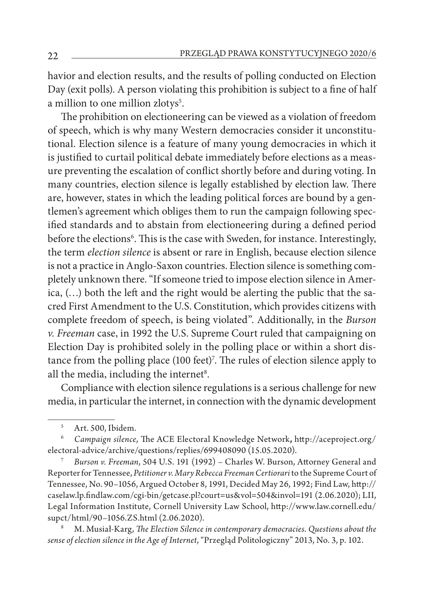havior and election results, and the results of polling conducted on Election Day (exit polls). A person violating this prohibition is subject to a fine of half a million to one million zlotys<sup>5</sup>.

The prohibition on electioneering can be viewed as a violation of freedom of speech, which is why many Western democracies consider it unconstitutional. Election silence is a feature of many young democracies in which it is justified to curtail political debate immediately before elections as a measure preventing the escalation of conflict shortly before and during voting. In many countries, election silence is legally established by election law. There are, however, states in which the leading political forces are bound by a gentlemen's agreement which obliges them to run the campaign following specified standards and to abstain from electioneering during a defined period before the elections<sup>6</sup>. This is the case with Sweden, for instance. Interestingly, the term *election silence* is absent or rare in English, because election silence is not a practice in Anglo-Saxon countries. Election silence is something completely unknown there. "If someone tried to impose election silence in America, (…) both the left and the right would be alerting the public that the sacred First Amendment to the U.S. Constitution, which provides citizens with complete freedom of speech, is being violated". Additionally, in the *Burson v. Freeman* case, in 1992 the U.S. Supreme Court ruled that campaigning on Election Day is prohibited solely in the polling place or within a short distance from the polling place (100 feet)<sup>7</sup>. The rules of election silence apply to all the media, including the internet<sup>8</sup>.

Compliance with election silence regulations is a serious challenge for new media, in particular the internet, in connection with the dynamic development

<sup>7</sup> *Burson v. Freeman*, 504 U.S. 191 (1992) – Charles W. Burson, Attorney General and Reporter for Tennessee, *Petitioner v. Mary Rebecca Freeman Certiorari* to the Supreme Court of Tennessee, No. 90–1056, Argued October 8, 1991, Decided May 26, 1992; Find Law, http:// caselaw.lp.findlaw.com/cgi-bin/getcase.pl?court=us&vol=504&invol=191 (2.06.2020); LII, Legal Information Institute, Cornell University Law School, http://www.law.cornell.edu/ supct/html/90–1056.ZS.html (2.06.2020).

<sup>8</sup> M. Musiał-Karg, *The Election Silence in contemporary democracies. Questions about the sense of election silence in the Age of Internet*, "Przegląd Politologiczny" 2013, No. 3, p. 102.

<sup>5</sup> Art. 500, Ibidem.

<sup>6</sup> *Campaign silence*, The ACE Electoral Knowledge Network**,** http://aceproject.org/ electoral-advice/archive/questions/replies/699408090 (15.05.2020).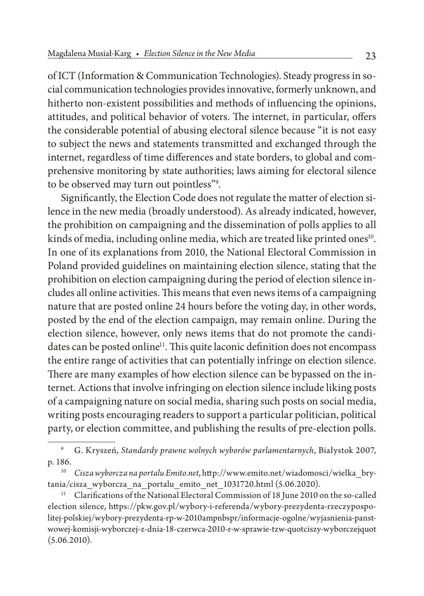of ICT (Information & Communication Technologies). Steady progress in social communication technologies provides innovative, formerly unknown, and hitherto non-existent possibilities and methods of influencing the opinions, attitudes, and political behavior of voters. The internet, in particular, offers the considerable potential of abusing electoral silence because "it is not easy to subject the news and statements transmitted and exchanged through the internet, regardless of time differences and state borders, to global and comprehensive monitoring by state authorities; laws aiming for electoral silence to be observed may turn out pointless"9 .

Significantly, the Election Code does not regulate the matter of election silence in the new media (broadly understood). As already indicated, however, the prohibition on campaigning and the dissemination of polls applies to all kinds of media, including online media, which are treated like printed ones<sup>10</sup>. In one of its explanations from 2010, the National Electoral Commission in Poland provided guidelines on maintaining election silence, stating that the prohibition on election campaigning during the period of election silence includes all online activities. This means that even news items of a campaigning nature that are posted online 24 hours before the voting day, in other words, posted by the end of the election campaign, may remain online. During the election silence, however, only news items that do not promote the candidates can be posted online<sup>11</sup>. This quite laconic definition does not encompass the entire range of activities that can potentially infringe on election silence. There are many examples of how election silence can be bypassed on the internet. Actions that involve infringing on election silence include liking posts of a campaigning nature on social media, sharing such posts on social media, writing posts encouraging readers to support a particular politician, political party, or election committee, and publishing the results of pre-election polls.

<sup>9</sup> G. Kryszeń, *Standardy prawne wolnych wyborów parlamentarnych*, Białystok 2007, p. 186.

<sup>10</sup> *Cisza wyborcza na portalu Emito.net*, http://www.emito.net/wiadomosci/wielka\_brytania/cisza\_wyborcza\_na\_portalu\_emito\_net\_1031720.html (5.06.2020).

<sup>&</sup>lt;sup>11</sup> Clarifications of the National Electoral Commission of 18 June 2010 on the so-called election silence, https://pkw.gov.pl/wybory-i-referenda/wybory-prezydenta-rzeczypospolitej-polskiej/wybory-prezydenta-rp-w-2010ampnbspr/informacje-ogolne/wyjasnienia-panstwowej-komisji-wyborczej-z-dnia-18-czerwca-2010-r-w-sprawie-tzw-quotciszy-wyborczejquot  $(5.06.2010).$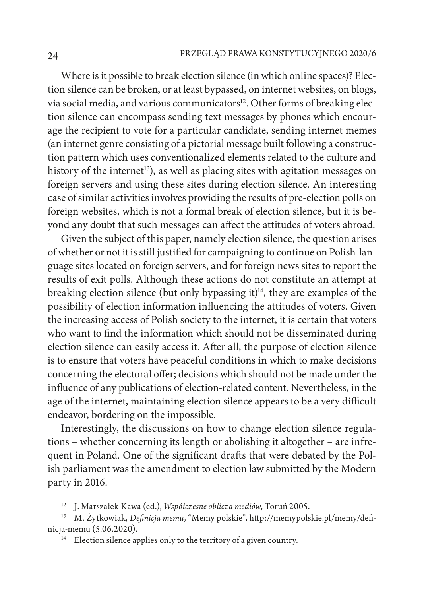Where is it possible to break election silence (in which online spaces)? Election silence can be broken, or at least bypassed, on internet websites, on blogs, via social media, and various communicators<sup>12</sup>. Other forms of breaking election silence can encompass sending text messages by phones which encourage the recipient to vote for a particular candidate, sending internet memes (an internet genre consisting of a pictorial message built following a construction pattern which uses conventionalized elements related to the culture and history of the internet<sup>13</sup>), as well as placing sites with agitation messages on foreign servers and using these sites during election silence. An interesting case of similar activities involves providing the results of pre-election polls on foreign websites, which is not a formal break of election silence, but it is beyond any doubt that such messages can affect the attitudes of voters abroad.

Given the subject of this paper, namely election silence, the question arises of whether or not it is still justified for campaigning to continue on Polish-language sites located on foreign servers, and for foreign news sites to report the results of exit polls. Although these actions do not constitute an attempt at breaking election silence (but only bypassing it) $\frac{1}{4}$ , they are examples of the possibility of election information influencing the attitudes of voters. Given the increasing access of Polish society to the internet, it is certain that voters who want to find the information which should not be disseminated during election silence can easily access it. After all, the purpose of election silence is to ensure that voters have peaceful conditions in which to make decisions concerning the electoral offer; decisions which should not be made under the influence of any publications of election-related content. Nevertheless, in the age of the internet, maintaining election silence appears to be a very difficult endeavor, bordering on the impossible.

Interestingly, the discussions on how to change election silence regulations – whether concerning its length or abolishing it altogether – are infrequent in Poland. One of the significant drafts that were debated by the Polish parliament was the amendment to election law submitted by the Modern party in 2016.

<sup>12</sup> J. Marszałek-Kawa (ed.), *Współczesne oblicza mediów*, Toruń 2005.

<sup>13</sup> M. Żytkowiak, *Definicja memu*, "Memy polskie", http://memypolskie.pl/memy/definicja-memu (5.06.2020).

 $14$  Election silence applies only to the territory of a given country.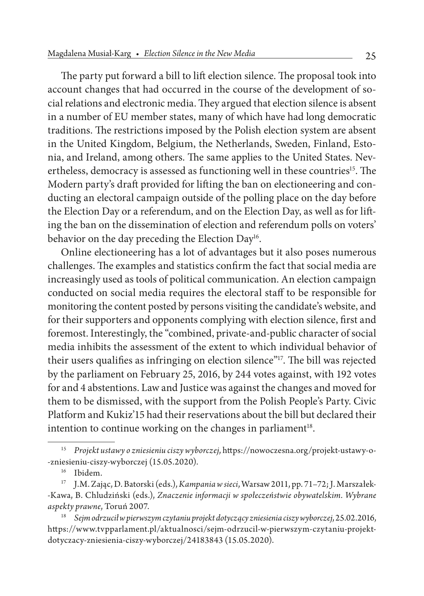The party put forward a bill to lift election silence. The proposal took into account changes that had occurred in the course of the development of social relations and electronic media. They argued that election silence is absent in a number of EU member states, many of which have had long democratic traditions. The restrictions imposed by the Polish election system are absent in the United Kingdom, Belgium, the Netherlands, Sweden, Finland, Estonia, and Ireland, among others. The same applies to the United States. Nevertheless, democracy is assessed as functioning well in these countries<sup>15</sup>. The Modern party's draft provided for lifting the ban on electioneering and conducting an electoral campaign outside of the polling place on the day before the Election Day or a referendum, and on the Election Day, as well as for lifting the ban on the dissemination of election and referendum polls on voters' behavior on the day preceding the Election Day<sup>16</sup>.

Online electioneering has a lot of advantages but it also poses numerous challenges. The examples and statistics confirm the fact that social media are increasingly used as tools of political communication. An election campaign conducted on social media requires the electoral staff to be responsible for monitoring the content posted by persons visiting the candidate's website, and for their supporters and opponents complying with election silence, first and foremost. Interestingly, the "combined, private-and-public character of social media inhibits the assessment of the extent to which individual behavior of their users qualifies as infringing on election silence"17. The bill was rejected by the parliament on February 25, 2016, by 244 votes against, with 192 votes for and 4 abstentions. Law and Justice was against the changes and moved for them to be dismissed, with the support from the Polish People's Party. Civic Platform and Kukiz'15 had their reservations about the bill but declared their intention to continue working on the changes in parliament $18$ .

<sup>15</sup> *Projekt ustawy o zniesieniu ciszy wyborczej*, https://nowoczesna.org/projekt-ustawy-o- -zniesieniu-ciszy-wyborczej (15.05.2020).

<sup>&</sup>lt;sup>16</sup> Ibidem.

<sup>17</sup> J.M. Zając, D. Batorski (eds.), *Kampania w sieci*, Warsaw 2011, pp. 71–72; J. Marszałek- -Kawa, B. Chludziński (eds.), *Znaczenie informacji w społeczeństwie obywatelskim. Wybrane aspekty prawne*, Toruń 2007.

<sup>18</sup> *Sejm odrzucił w pierwszym czytaniu projekt dotyczący zniesienia ciszy wyborczej*, 25.02.2016, https://www.tvpparlament.pl/aktualnosci/sejm-odrzucil-w-pierwszym-czytaniu-projektdotyczacy-zniesienia-ciszy-wyborczej/24183843 (15.05.2020).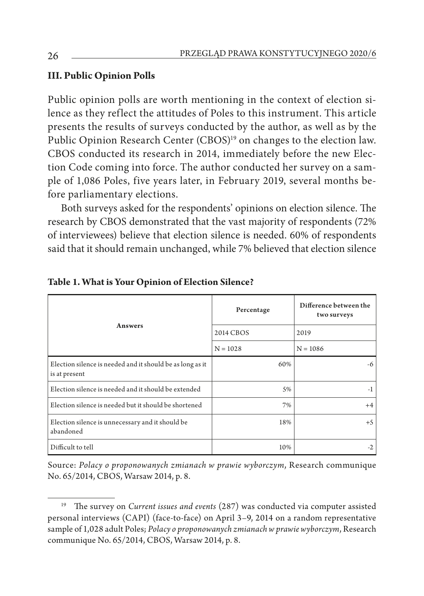## **III. Public Opinion Polls**

Public opinion polls are worth mentioning in the context of election silence as they reflect the attitudes of Poles to this instrument. This article presents the results of surveys conducted by the author, as well as by the Public Opinion Research Center (CBOS)<sup>19</sup> on changes to the election law. CBOS conducted its research in 2014, immediately before the new Election Code coming into force. The author conducted her survey on a sample of 1,086 Poles, five years later, in February 2019, several months before parliamentary elections.

Both surveys asked for the respondents' opinions on election silence. The research by CBOS demonstrated that the vast majority of respondents (72% of interviewees) believe that election silence is needed. 60% of respondents said that it should remain unchanged, while 7% believed that election silence

| Answers                                                                    | Percentage | Difference between the<br>two surveys |  |
|----------------------------------------------------------------------------|------------|---------------------------------------|--|
|                                                                            | 2014 CBOS  | 2019                                  |  |
|                                                                            | $N = 1028$ | $N = 1086$                            |  |
| Election silence is needed and it should be as long as it<br>is at present | 60%        | -6                                    |  |
| Election silence is needed and it should be extended                       | 5%         | $-1$                                  |  |
| Election silence is needed but it should be shortened                      | 7%         | $+4$                                  |  |
| Election silence is unnecessary and it should be<br>abandoned              | 18%        | $+5$                                  |  |
| Difficult to tell                                                          | 10%        | $-2$                                  |  |

### **Table 1. What is Your Opinion of Election Silence?**

Source: *Polacy o proponowanych zmianach w prawie wyborczym*, Research communique No. 65/2014, CBOS, Warsaw 2014, p. 8.

<sup>19</sup> The survey on *Current issues and events* (287) was conducted via computer assisted personal interviews (CAPI) (face-to-face) on April 3–9, 2014 on a random representative sample of 1,028 adult Poles; *Polacy o proponowanych zmianach w prawie wyborczym*, Research communique No. 65/2014, CBOS, Warsaw 2014, p. 8.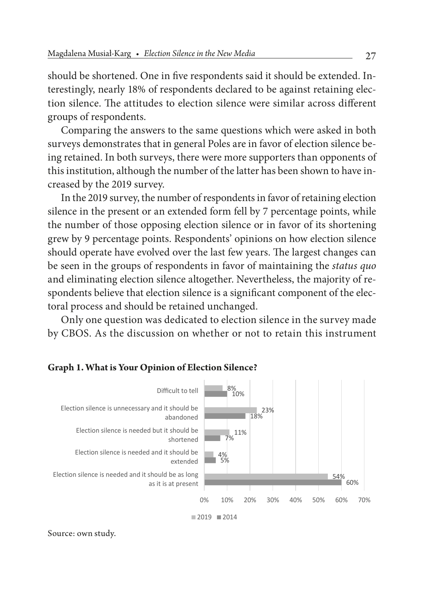should be shortened. One in five respondents said it should be extended. Interestingly, nearly 18% of respondents declared to be against retaining election silence. The attitudes to election silence were similar across different groups of respondents.

Comparing the answers to the same questions which were asked in both surveys demonstrates that in general Poles are in favor of election silence being retained. In both surveys, there were more supporters than opponents of this institution, although the number of the latter has been shown to have increased by the 2019 survey.

In the 2019 survey, the number of respondents in favor of retaining election silence in the present or an extended form fell by 7 percentage points, while the number of those opposing election silence or in favor of its shortening grew by 9 percentage points. Respondents' opinions on how election silence should operate have evolved over the last few years. The largest changes can be seen in the groups of respondents in favor of maintaining the *status quo* and eliminating election silence altogether. Nevertheless, the majority of respondents believe that election silence is a significant component of the electoral process and should be retained unchanged.

Only one question was dedicated to election silence in the survey made by CBOS. As the discussion on whether or not to retain this instrument



### **Graph 1. What is Your Opinion of Election Silence?**

Source: own study.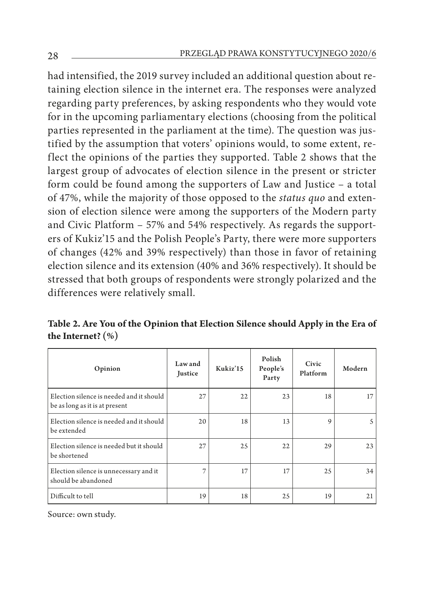had intensified, the 2019 survey included an additional question about retaining election silence in the internet era. The responses were analyzed regarding party preferences, by asking respondents who they would vote for in the upcoming parliamentary elections (choosing from the political parties represented in the parliament at the time). The question was justified by the assumption that voters' opinions would, to some extent, reflect the opinions of the parties they supported. Table 2 shows that the largest group of advocates of election silence in the present or stricter form could be found among the supporters of Law and Justice – a total of 47%, while the majority of those opposed to the *status quo* and extension of election silence were among the supporters of the Modern party and Civic Platform – 57% and 54% respectively. As regards the supporters of Kukiz'15 and the Polish People's Party, there were more supporters of changes (42% and 39% respectively) than those in favor of retaining election silence and its extension (40% and 36% respectively). It should be stressed that both groups of respondents were strongly polarized and the differences were relatively small.

| Table 2. Are You of the Opinion that Election Silence should Apply in the Era of |  |  |
|----------------------------------------------------------------------------------|--|--|
| the Internet? $(\%)$                                                             |  |  |

| Opinion                                                                    | Law and<br>Justice | Kukiz'15 | Polish<br>People's<br>Party | Civic<br>Platform | Modern |
|----------------------------------------------------------------------------|--------------------|----------|-----------------------------|-------------------|--------|
| Election silence is needed and it should<br>be as long as it is at present | 27                 | 22       | 23                          | 18                | 17     |
| Election silence is needed and it should<br>be extended                    | 20                 | 18       | 13                          | 9                 | 5      |
| Election silence is needed but it should<br>be shortened                   | 27                 | 25       | 22                          | 29                | 23     |
| Election silence is unnecessary and it<br>should be abandoned              | 7                  | 17       | 17                          | 25                | 34     |
| Difficult to tell                                                          | 19                 | 18       | 25                          | 19                | 21     |

Source: own study.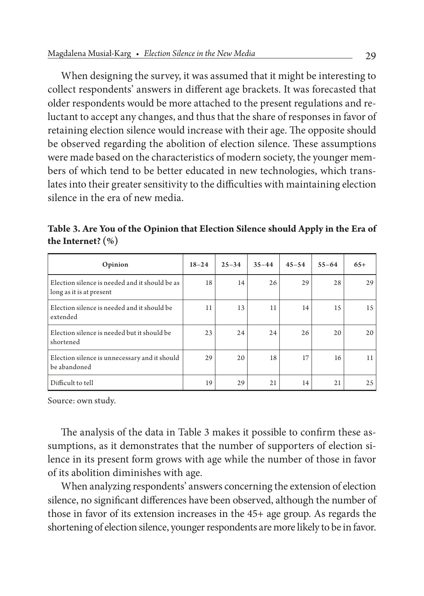When designing the survey, it was assumed that it might be interesting to collect respondents' answers in different age brackets. It was forecasted that older respondents would be more attached to the present regulations and reluctant to accept any changes, and thus that the share of responses in favor of retaining election silence would increase with their age. The opposite should be observed regarding the abolition of election silence. These assumptions were made based on the characteristics of modern society, the younger members of which tend to be better educated in new technologies, which translates into their greater sensitivity to the difficulties with maintaining election silence in the era of new media.

**Table 3. Are You of the Opinion that Election Silence should Apply in the Era of the Internet? (%)**

| Opinion                                                                    | $18 - 24$ | $25 - 34$ | $35 - 44$ | $45 - 54$ | $55 - 64$ | $65+$ |
|----------------------------------------------------------------------------|-----------|-----------|-----------|-----------|-----------|-------|
| Election silence is needed and it should be as<br>long as it is at present | 18        | 14        | 26        | 29        | 28        | 29    |
| Election silence is needed and it should be<br>extended                    | 11        | 13        | 11        | 14        | 15        | 15    |
| Election silence is needed but it should be<br>shortened                   | 23        | 24        | 24        | 26        | 20        | 20    |
| Election silence is unnecessary and it should<br>be abandoned              | 29        | 20        | 18        | 17        | 16        | 11    |
| Difficult to tell                                                          | 19        | 29        | 21        | 14        | 21        | 25    |

Source: own study.

The analysis of the data in Table 3 makes it possible to confirm these assumptions, as it demonstrates that the number of supporters of election silence in its present form grows with age while the number of those in favor of its abolition diminishes with age.

When analyzing respondents' answers concerning the extension of election silence, no significant differences have been observed, although the number of those in favor of its extension increases in the 45+ age group. As regards the shortening of election silence, younger respondents are more likely to be in favor.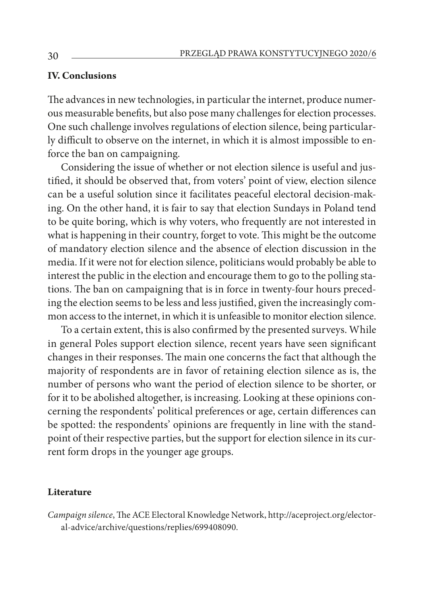### **IV. Conclusions**

The advances in new technologies, in particular the internet, produce numerous measurable benefits, but also pose many challenges for election processes. One such challenge involves regulations of election silence, being particularly difficult to observe on the internet, in which it is almost impossible to enforce the ban on campaigning.

Considering the issue of whether or not election silence is useful and justified, it should be observed that, from voters' point of view, election silence can be a useful solution since it facilitates peaceful electoral decision-making. On the other hand, it is fair to say that election Sundays in Poland tend to be quite boring, which is why voters, who frequently are not interested in what is happening in their country, forget to vote. This might be the outcome of mandatory election silence and the absence of election discussion in the media. If it were not for election silence, politicians would probably be able to interest the public in the election and encourage them to go to the polling stations. The ban on campaigning that is in force in twenty-four hours preceding the election seems to be less and less justified, given the increasingly common access to the internet, in which it is unfeasible to monitor election silence.

To a certain extent, this is also confirmed by the presented surveys. While in general Poles support election silence, recent years have seen significant changes in their responses. The main one concerns the fact that although the majority of respondents are in favor of retaining election silence as is, the number of persons who want the period of election silence to be shorter, or for it to be abolished altogether, is increasing. Looking at these opinions concerning the respondents' political preferences or age, certain differences can be spotted: the respondents' opinions are frequently in line with the standpoint of their respective parties, but the support for election silence in its current form drops in the younger age groups.

#### **Literature**

*Campaign silence*, The ACE Electoral Knowledge Network, http://aceproject.org/electoral-advice/archive/questions/replies/699408090.